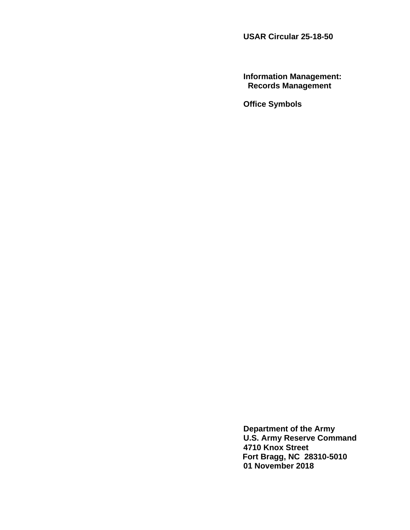**USAR Circular 25-18-50**

**Information Management: Records Management**

**Office Symbols**

**Department of the Army U.S. Army Reserve Command 4710 Knox Street Fort Bragg, NC 28310-5010 01 November 2018**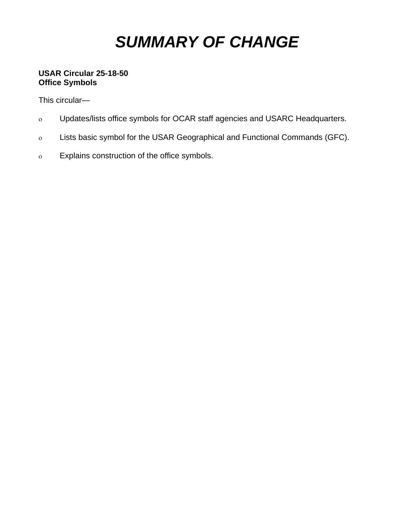# *SUMMARY OF CHANGE*

# **USAR Circular 25-18-50 Office Symbols**

This circular—

- ο Updates/lists office symbols for OCAR staff agencies and USARC Headquarters.
- ο Lists basic symbol for the USAR Geographical and Functional Commands (GFC).
- ο Explains construction of the office symbols.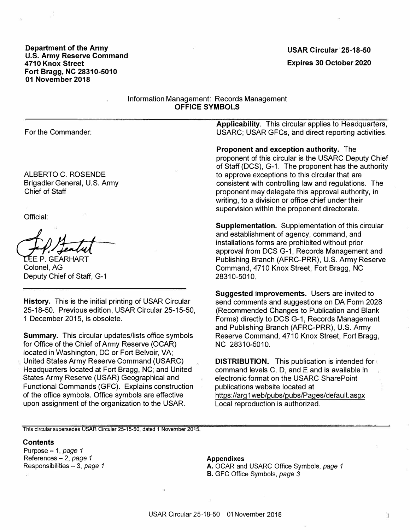**Department of the Army U.S. Army Reserve Command 4710 Knox Street Fort Bragg, NC 28310-5010 01 November 2018**

# **Expires 30 October 2020 USAR Circular 25-18-50**

Information Management: Records Management **OFFICE SYMBOLS** 

For the Commander:

ALBERTO C. ROSENDE Brigadier General, U.S. Army Chief of Staff

Official:

**LEE P. GEARHART** Colonel, AG Deputy Chief of Staff, G-1

**History.** This is the initial printing of USAR Circular 25-18-50. Previous edition, USAR Circular 25-15-50, 1 December 2015, is obsolete.

**Summary.** This circular updates/lists office symbols for Office of the Chief of Army Reserve (OCAR) located in Washington, DC or Fort Belvoir, VA; United States Army Reserve Command (USARC) Headquarters located at Fort Bragg, NC; and United States Army Reserve (USAR) Geographical and Functional Commands (GFC). Explains construction of the office symbols. Office symbols are effective upon assignment of the organization to the USAR.

**Applicability.** This circular applies to Headquarters, USARC; USAR GFCs, and direct reporting activities.

**Proponent and exception authority.** The proponent of this circular is the USARC Deputy Chief of Staff (DCS), G-1. The proponent has the authority to approve exceptions to this circular that are consistent with controlling law and regulations. The proponent may delegate this approval authority, in writing, to a division or office chief under their supervision within the proponent directorate.

**Supplementation.** Supplementation of this circular and establishment of agency, command, and installations forms are prohibited without prior approval from DCS G-1, Records Management and Publishing Branch (AFRC-PRR), U.S. Army Reserve Command, 4710 Knox Street, Fort Bragg, NC 28310-5010.

**Suggested improvements.** Users are invited to send comments and suggestions on DA Form 2028 (Recommended Changes to Publication and Blank Forms) directly to DCS G-1, Records Management and Publishing Branch (AFRC-PRR), U.S. Army Reserve Command, 4710 Knox Street, Fort Bragg, NC 28310-5010.

**DISTRIBUTION.** This publication is intended for command levels C, D, and E and is available in electronic format on the USARC SharePoint publications website located at https://arg 1 web/pubs/pubs/Pages/default. aspx Local reproduction is authorized.

j

**This circular supersedes USAR Circular 25�15-50, dated 1 November 2015.** 

#### **Contents**

Purpose - 1 , *page 1* References - 2, *page 1* Responsibilities - 3, *page 1*

#### **Appendixes**

A. OCAR and USARC Office Symbols, *page 1* B. GFC Office Symbols, *page 3*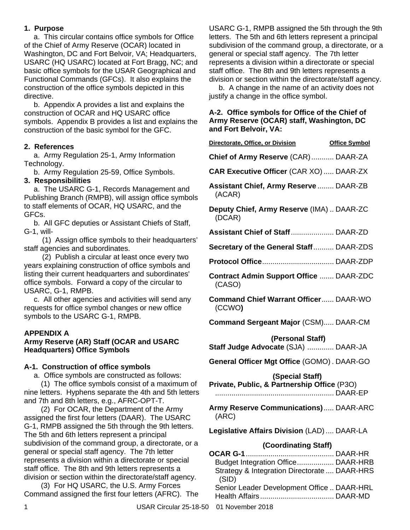### **1. Purpose**

a. This circular contains office symbols for Office of the Chief of Army Reserve (OCAR) located in Washington, DC and Fort Belvoir, VA; Headquarters, USARC (HQ USARC) located at Fort Bragg, NC; and basic office symbols for the USAR Geographical and Functional Commands (GFCs). It also explains the construction of the office symbols depicted in this directive.

b. Appendix A provides a list and explains the construction of OCAR and HQ USARC office symbols. Appendix B provides a list and explains the construction of the basic symbol for the GFC.

# **2. References**

a. Army Regulation 25-1, Army Information Technology.

b. Army Regulation 25-59, Office Symbols.

# **3. Responsibilities**

a. The USARC G-1, Records Management and Publishing Branch (RMPB), will assign office symbols to staff elements of OCAR, HQ USARC, and the GFCs.

b. All GFC deputies or Assistant Chiefs of Staff, G-1, will-

(1) Assign office symbols to their headquarters' staff agencies and subordinates.

(2) Publish a circular at least once every two years explaining construction of office symbols and listing their current headquarters and subordinates' office symbols. Forward a copy of the circular to USARC, G-1, RMPB.

c. All other agencies and activities will send any requests for office symbol changes or new office symbols to the USARC G-1, RMPB.

# **APPENDIX A**

# **Army Reserve (AR) Staff (OCAR and USARC Headquarters) Office Symbols**

### **A-1. Construction of office symbols**

a. Office symbols are constructed as follows:

(1) The office symbols consist of a maximum of nine letters. Hyphens separate the 4th and 5th letters and 7th and 8th letters, e.g., AFRC-OPT-T.

(2) For OCAR, the Department of the Army assigned the first four letters (DAAR). The USARC G-1, RMPB assigned the 5th through the 9th letters. The 5th and 6th letters represent a principal subdivision of the command group, a directorate, or a general or special staff agency. The 7th letter represents a division within a directorate or special staff office. The 8th and 9th letters represents a division or section within the directorate/staff agency.

(3) For HQ USARC, the U.S. Army Forces Command assigned the first four letters (AFRC). The USARC G-1, RMPB assigned the 5th through the 9th letters. The 5th and 6th letters represent a principal subdivision of the command group, a directorate, or a general or special staff agency. The 7th letter represents a division within a directorate or special staff office. The 8th and 9th letters represents a division or section within the directorate/staff agency.

b. A change in the name of an activity does not justify a change in the office symbol.

#### **A-2. Office symbols for Office of the Chief of Army Reserve (OCAR) staff, Washington, DC and Fort Belvoir, VA:**

| Directorate, Office, or Division                                                                         | <b>Office Symbol</b> |
|----------------------------------------------------------------------------------------------------------|----------------------|
| Chief of Army Reserve (CAR) DAAR-ZA                                                                      |                      |
| <b>CAR Executive Officer (CAR XO) DAAR-ZX</b>                                                            |                      |
| <b>Assistant Chief, Army Reserve  DAAR-ZB</b><br>(ACAR)                                                  |                      |
| Deputy Chief, Army Reserve (IMA)  DAAR-ZC<br>(DCAR)                                                      |                      |
|                                                                                                          |                      |
| Secretary of the General Staff DAAR-ZDS                                                                  |                      |
|                                                                                                          |                      |
| <b>Contract Admin Support Office  DAAR-ZDC</b><br>(CASO)                                                 |                      |
| <b>Command Chief Warrant Officer DAAR-WO</b><br>(CCWO)                                                   |                      |
| <b>Command Sergeant Major (CSM) DAAR-CM</b>                                                              |                      |
| (Personal Staff)                                                                                         |                      |
| Staff Judge Advocate (SJA)  DAAR-JA                                                                      |                      |
| General Officer Mgt Office (GOMO). DAAR-GO                                                               |                      |
| (Special Staff)<br>Private, Public, & Partnership Office (P3O)                                           |                      |
| Army Reserve Communications) DAAR-ARC<br>(ARC)                                                           |                      |
| Legislative Affairs Division (LAD) DAAR-LA                                                               |                      |
| (Coordinating Staff)                                                                                     |                      |
| OCAR G-1.<br>Budget Integration Office DAAR-HRB<br>Strategy & Integration Directorate  DAAR-HRS<br>(SID) |                      |
| Senior Leader Development Office  DAAR-HRL                                                               |                      |

Health Affairs.................................... DAAR-MD

1 USAR Circular 25-18-50 01 November 2018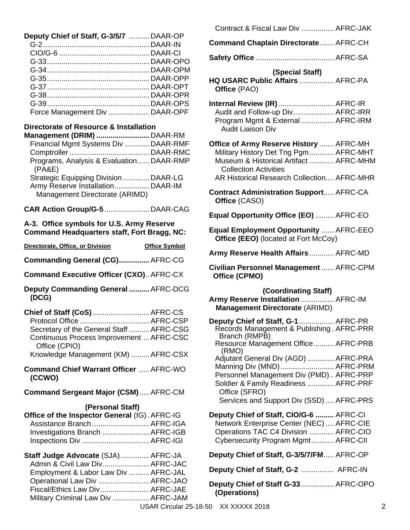| Deputy Chief of Staff, G-3/5/7 DAAR-OP |  |
|----------------------------------------|--|
|                                        |  |
|                                        |  |
|                                        |  |
|                                        |  |
|                                        |  |
|                                        |  |
|                                        |  |
|                                        |  |
| Force Management Div  DAAR-OPF         |  |
|                                        |  |

#### **Directorate of Resource & Installation**

| Management (DRIM) DAAR-RM                                           |  |
|---------------------------------------------------------------------|--|
| Financial Mgmt Systems Div DAAR-RMF                                 |  |
|                                                                     |  |
| Programs, Analysis & Evaluation DAAR-RMP<br>(PA&E)                  |  |
| Strategic Equipping Division  DAAR-LG                               |  |
| Army Reserve Installation DAAR-IM<br>Management Directorate (ARIMD) |  |
|                                                                     |  |

**CAR Action Group/G-5** ......................DAAR-CAG

#### **A-3. Office symbols for U.S. Army Reserve Command Headquarters staff, Fort Bragg, NC:**

| Directorate, Office, or Division               | <b>Office Symbol</b> |
|------------------------------------------------|----------------------|
| Commanding General (CG) AFRC-CG                |                      |
| <b>Command Executive Officer (CXO) AFRC-CX</b> |                      |
| Deputy Commanding General  AFRC-DCG            |                      |

 **(DCG) Chief of Staff (CoS)**............................AFRC-CS

Protocol Office ..................................AFRC-CSP Secretary of the General Staff ..........AFRC-CSG Continuous Process Improvement ...AFRC-CSC Office (CPIO) Knowledge Management (KM) .........AFRC-CSX

**Command Chief Warrant Officer** .....AFRC-WO **(CCWO)**

**Command Sergeant Major (CSM)**.....AFRC-CM

#### **(Personal Staff)**

| <b>Office of the Inspector General (IG). AFRC-IG</b> |  |
|------------------------------------------------------|--|
| Assistance Branch  AFRC-IGA                          |  |
| Investigations Branch  AFRC-IGB                      |  |
|                                                      |  |

| Staff Judge Advocate (SJA)  AFRC-JA  |                                                               |
|--------------------------------------|---------------------------------------------------------------|
| Admin & Civil Law Div AFRC-JAC       |                                                               |
| Employment & Labor Law Div  AFRC-JAL |                                                               |
| Operational Law Div  AFRC-JAO        |                                                               |
| Fiscal/Ethics Law Div AFRC-JAE       |                                                               |
| Military Criminal Law Div  AFRC-JAM  |                                                               |
|                                      | $\mathbf{11} \cap \mathbf{1} \cap \mathbf{2} \cap \mathbf{3}$ |

| <b>Command Chaplain Directorate AFRC-CH</b>                                                                                                                                                              |
|----------------------------------------------------------------------------------------------------------------------------------------------------------------------------------------------------------|
|                                                                                                                                                                                                          |
| (Special Staff)<br>HQ USARC Public Affairs  AFRC-PA<br>Office (PAO)                                                                                                                                      |
| Internal Review (IR)  AFRC-IR<br>Audit and Follow-up Div AFRC-IRR<br>Program Mgmt & External  AFRC-IRM<br><b>Audit Liaison Div</b>                                                                       |
| Office of Army Reserve History  AFRC-MH<br>Military History Det Tng Pgm AFRC-MHT<br>Museum & Historical Artifact  AFRC-MHM<br><b>Collection Activities</b><br>AR Historical Research Collection AFRC-MHR |
| <b>Contract Administration Support AFRC-CA</b><br>Office (CASO)                                                                                                                                          |
| Equal Opportunity Office (EO)  AFRC-EO                                                                                                                                                                   |
| <b>Equal Employment Opportunity  AFRC-EEO</b><br>Office (EEO) (located at Fort McCoy)                                                                                                                    |
| Army Reserve Health Affairs AFRC-MD                                                                                                                                                                      |
| Civilian Personnel Management  AFRC-CPM<br>Office (CPMO)                                                                                                                                                 |
| (Coordinating Staff)<br>Army Reserve Installation  AFRC-IM<br><b>Management Directorate (ARIMD)</b>                                                                                                      |
| Deputy Chief of Staff, G-1  AFRC-PR<br>Records Management & Publishing. AFRC-PRR<br>Branch (RMPB)<br>Resource Management Office AFRC-PRB                                                                 |
| (RMO)<br>Adjutant General Div (AGD)  AFRC-PRA<br>Manning Div (MND)  AFRC-PRM<br>Personnel Management Div (PMD) AFRC-PRP<br>Soldier & Family Readiness  AFRC-PRF<br>Office (SFRO)                         |
| Services and Support Div (SSD)  AFRC-PRS                                                                                                                                                                 |
| Deputy Chief of Staff, CIO/G-6  AFRC-CI<br>Network Enterprise Center (NEC)  AFRC-CIE<br>Operations TAC C4 Division  AFRC-CIO<br>Cybersecurity Program Mgmt AFRC-CII                                      |
| Deputy Chief of Staff, G-3/5/7/FM AFRC-OP                                                                                                                                                                |
| Deputy Chief of Staff, G-2  AFRC-IN                                                                                                                                                                      |
| Deputy Chief of Staff G-33 AFRC-OPO                                                                                                                                                                      |

Contract & Fiscal Law Div ................ AFRC-JAK

**(Operations)**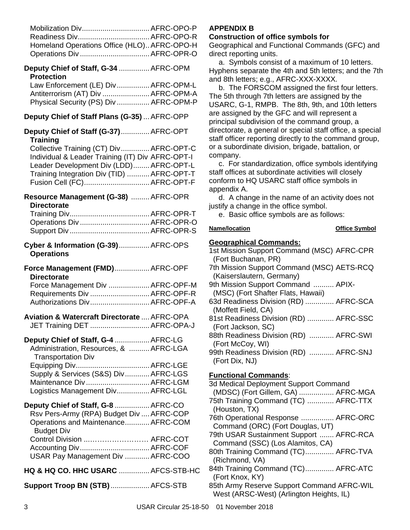| Mobilization Div AFRC-OPO-P<br>Readiness Div AFRC-OPO-R<br>Homeland Operations Office (HLO) AFRC-OPO-H<br>Operations Div AFRC-OPR-O                                                                                 |  |
|---------------------------------------------------------------------------------------------------------------------------------------------------------------------------------------------------------------------|--|
| Deputy Chief of Staff, G-34  AFRC-OPM<br><b>Protection</b>                                                                                                                                                          |  |
| Law Enforcement (LE) Div AFRC-OPM-L<br>Antiterrorism (AT) Div  AFRC-OPM-A<br>Physical Security (PS) Div  AFRC-OPM-P                                                                                                 |  |
| Deputy Chief of Staff Plans (G-35)  AFRC-OPP                                                                                                                                                                        |  |
| Deputy Chief of Staff (G-37) AFRC-OPT<br><b>Training</b>                                                                                                                                                            |  |
| Collective Training (CT) Div AFRC-OPT-C<br>Individual & Leader Training (IT) Div AFRC-OPT-I<br>Leader Development Div (LDD) AFRC-OPT-L<br>Training Integration Div (TID)  AFRC-OPT-T<br>Fusion Cell (FC) AFRC-OPT-F |  |
| Resource Management (G-38)  AFRC-OPR                                                                                                                                                                                |  |
| <b>Directorate</b><br>Operations Div AFRC-OPR-O                                                                                                                                                                     |  |
| Cyber & Information (G-39) AFRC-OPS<br><b>Operations</b>                                                                                                                                                            |  |
| Force Management (FMD) AFRC-OPF<br><b>Directorate</b>                                                                                                                                                               |  |
| Force Management Div  AFRC-OPF-M<br>Requirements Div  AFRC-OPF-R<br>Authorizations Div AFRC-OPF-A                                                                                                                   |  |
| Aviation & Watercraft Directorate  AFRC-OPA<br>JET Training DET  AFRC-OPA-J                                                                                                                                         |  |
| Deputy Chief of Staff, G-4  AFRC-LG<br>Administration, Resources, &  AFRC-LGA<br><b>Transportation Div</b>                                                                                                          |  |
| Supply & Services (S&S) Div AFRC-LGS<br>Maintenance Div  AFRC-LGM<br>Logistics Management Div AFRC-LGL                                                                                                              |  |
| Deputy Chief of Staff, G-8  AFRC-CO<br>Rsv Pers-Army (RPA) Budget Div  AFRC-COP<br>Operations and Maintenance AFRC-COM                                                                                              |  |
| <b>Budget Div</b><br>Control Division  AFRC-COT<br>USAR Pay Management Div  AFRC-COO                                                                                                                                |  |
| HQ & HQ CO. HHC USARC  AFCS-STB-HC                                                                                                                                                                                  |  |
| Support Troop BN (STB)  AFCS-STB                                                                                                                                                                                    |  |

#### **APPENDIX B**

#### **Construction of office symbols for**

Geographical and Functional Commands (GFC) and direct reporting units.

a. Symbols consist of a maximum of 10 letters. Hyphens separate the 4th and 5th letters; and the 7th and 8th letters; e.g., AFRC-XXX-XXXX.

b. The FORSCOM assigned the first four letters. The 5th through 7th letters are assigned by the USARC, G-1, RMPB. The 8th, 9th, and 10th letters are assigned by the GFC and will represent a principal subdivision of the command group, a directorate, a general or special staff office, a special staff officer reporting directly to the command group, or a subordinate division, brigade, battalion, or company.

c. For standardization, office symbols identifying staff offices at subordinate activities will closely conform to HQ USARC staff office symbols in appendix A.

d. A change in the name of an activity does not justify a change in the office symbol.

e. Basic office symbols are as follows:

### **Name/location Construction Office Symbol**

#### **Geographical Commands:**

| 1st Mission Support Command (MSC) AFRC-CPR |
|--------------------------------------------|
| (Fort Buchanan, PR)                        |
| 7th Mission Support Command (MSC) AETS-RCQ |
| (Kaiserslautern, Germany)                  |
| 9th Mission Support Command  APIX-         |
| (MSC) (Fort Shafter Flats, Hawaii)         |
| 63d Readiness Division (RD)  AFRC-SCA      |
| (Moffett Field, CA)                        |
| 81st Readiness Division (RD)  AFRC-SSC     |
| (Fort Jackson, SC)                         |
| 88th Readiness Division (RD)  AFRC-SWI     |
| (Fort McCoy, WI)                           |
| 99th Readiness Division (RD)  AFRC-SNJ     |
| (Fort Dix, NJ)                             |
|                                            |

# **Functional Commands**:

| 3d Medical Deployment Support Command      |
|--------------------------------------------|
| (MDSC) (Fort Gillem, GA)  AFRC-MGA         |
| 75th Training Command (TC)  AFRC-TTX       |
| (Houston, TX)                              |
| 76th Operational Response  AFRC-ORC        |
| Command (ORC) (Fort Douglas, UT)           |
| 79th USAR Sustainment Support  AFRC-RCA    |
| Command (SSC) (Los Alamitos, CA)           |
| 80th Training Command (TC) AFRC-TVA        |
| (Richmond, VA)                             |
| 84th Training Command (TC) AFRC-ATC        |
| (Fort Knox, KY)                            |
| 85th Army Reserve Support Command AFRC-WIL |
| West (ARSC-West) (Arlington Heights, IL)   |
|                                            |